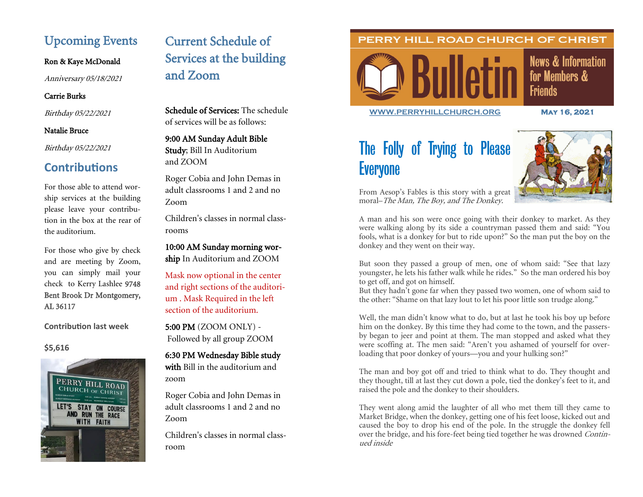# Upcoming Events

### Ron & Kaye McDonald

Anniversary 05/18/2021

### Carrie Burks

Birthday 05/22/2021

#### Natalie Bruce

Birthday 05/22/2021

## **Contributions**

For those able to attend worship services at the building please leave your contribution in the box at the rear of the auditorium.

For those who give by check and are meeting by Zoom, you can simply mail your check to Kerry Lashlee 9748 Bent Brook Dr Montgomery, AL 36117

### **Contribution last week**

### **\$5,616**



# Current Schedule of Services at the building and Zoom

Schedule of Services: The schedule of services will be as follows:

### 9:00 AM Sunday Adult Bible Study; Bill In Auditorium and ZOOM

Roger Cobia and John Demas in adult classrooms 1 and 2 and no Zoom

Children's classes in normal classrooms

10:00 AM Sunday morning worship In Auditorium and ZOOM

Mask now optional in the center and right sections of the auditorium . Mask Required in the left section of the auditorium.

5:00 PM (ZOOM ONLY) - Followed by all group ZOOM

6:30 PM Wednesday Bible study with Bill in the auditorium and zoom

Roger Cobia and John Demas in adult classrooms 1 and 2 and no Zoom

Children's classes in normal classroom

### PERRY HILL ROAD CHURCH OF CHRIST



**News & Information** for Members & **Friends** 

**[WWW.PERRYHILLCHURCH.ORG](http://www.perryhillchurch.org) May 16, 2021** 

# The Folly of Trying to Please **Everyone**



From Aesop's Fables is this story with a great moral–The Man, The Boy, and The Donkey.

A man and his son were once going with their donkey to market. As they were walking along by its side a countryman passed them and said: "You fools, what is a donkey for but to ride upon?" So the man put the boy on the donkey and they went on their way.

But soon they passed a group of men, one of whom said: "See that lazy youngster, he lets his father walk while he rides." So the man ordered his boy to get off, and got on himself.

But they hadn't gone far when they passed two women, one of whom said to the other: "Shame on that lazy lout to let his poor little son trudge along."

Well, the man didn't know what to do, but at last he took his boy up before him on the donkey. By this time they had come to the town, and the passersby began to jeer and point at them. The man stopped and asked what they were scoffing at. The men said: "Aren't you ashamed of yourself for overloading that poor donkey of yours—you and your hulking son?"

The man and boy got off and tried to think what to do. They thought and they thought, till at last they cut down a pole, tied the donkey's feet to it, and raised the pole and the donkey to their shoulders.

They went along amid the laughter of all who met them till they came to Market Bridge, when the donkey, getting one of his feet loose, kicked out and caused the boy to drop his end of the pole. In the struggle the donkey fell over the bridge, and his fore-feet being tied together he was drowned Continued inside